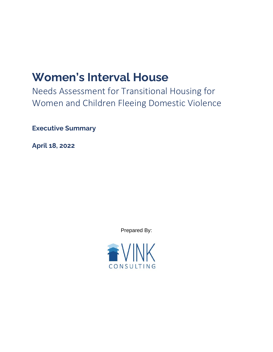## **Women's Interval House**

Needs Assessment for Transitional Housing for Women and Children Fleeing Domestic Violence

**Executive Summary**

**April 18, 2022**

Prepared By:

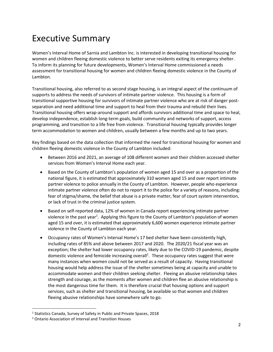## Executive Summary

Women's Interval Home of Sarnia and Lambton Inc. is interested in developing transitional housing for women and children fleeing domestic violence to better serve residents exiting its emergency shelter. To inform its planning for future developments, Women's Interval Home commissioned a needs assessment for transitional housing for women and children fleeing domestic violence in the County of Lambton.

Transitional housing, also referred to as second stage housing, is an integral aspect of the continuum of supports to address the needs of survivors of intimate partner violence. This housing is a form of transitional supportive housing for survivors of intimate partner violence who are at risk of danger postseparation and need additional time and support to heal from their trauma and rebuild their lives. Transitional housing offers wrap-around support and affords survivors additional time and space to heal, develop independence, establish long-term goals, build community and networks of support, access programming, and transition to a life free from violence. Transitional housing typically provides longer term accommodation to women and children, usually between a few months and up to two years.

Key findings based on the data collection that informed the need for transitional housing for women and children fleeing domestic violence in the County of Lambton included:

- Between 2016 and 2021, an average of 108 different women and their children accessed shelter services from Women's Interval Home each year.
- Based on the County of Lambton's population of women aged 15 and over as a proportion of the national figure, it is estimated that approximately 310 women aged 15 and over report intimate partner violence to police annually in the County of Lambton. However, people who experience intimate partner violence often do not to report it to the police for a variety of reasons, including: fear of stigma/shame, the belief that abuse is a private matter, fear of court system intervention, or lack of trust in the criminal justice system.
- Based on self-reported data, 12% of women in Canada report experiencing intimate partner violence in the past year<sup>1</sup>. Applying this figure to the County of Lambton's population of women aged 15 and over, it is estimated that approximately 6,600 women experience intimate partner violence in the County of Lambton each year.
- Occupancy rates of Women's Interval Home's 17 bed shelter have been consistently high, including rates of 85% and above between 2017 and 2020. The 2020/21 fiscal year was an exception; the shelter had lower occupancy rates, likely due to the COVID-19 pandemic, despite domestic violence and femicide increasing overall<sup>2</sup>. These occupancy rates suggest that were many instances when women could not be served as a result of capacity. Having transitional housing would help address the issue of the shelter sometimes being at capacity and unable to accommodate women and their children seeking shelter. Fleeing an abusive relationship takes strength and courage, as the moments after women and children flee an abusive relationship is the most dangerous time for them. It is therefore crucial that housing options and support services, such as shelter and transitional housing, be available so that women and children fleeing abusive relationships have somewhere safe to go.

<sup>&</sup>lt;sup>1</sup> Statistics Canada, Survey of Safety in Public and Private Spaces, 2018

<sup>2</sup> Ontario Association of Interval and Transition Houses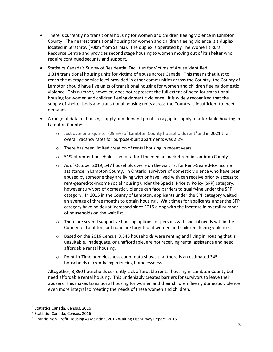- There is currently no transitional housing for women and children fleeing violence in Lambton County. The nearest transitional housing for women and children fleeing violence is a duplex located in Strathroy (70km from Sarnia). The duplex is operated by The Women's Rural Resource Centre and provides second stage housing to women moving out of its shelter who require continued security and support.
- Statistics Canada's Survey of Residential Facilities for Victims of Abuse identified 1,314 transitional housing units for victims of abuse across Canada. This means that just to reach the average service level provided in other communities across the Country, the County of Lambton should have five units of transitional housing for women and children fleeing domestic violence. This number, however, does not represent the full extent of need for transitional housing for women and children fleeing domestic violence. It is widely recognized that the supply of shelter beds and transitional housing units across the Country is insufficient to meet demands.
- A range of data on housing supply and demand points to a gap in supply of affordable housing in Lambton County:
	- $\circ$  Just over one quarter (25.5%) of Lambton County households rent<sup>3</sup> and in 2021 the overall vacancy rates for purpose-built apartments was 2.2%
	- o There has been limited creation of rental housing in recent years.
	- $\circ$  51% of renter households cannot afford the median market rent in Lambton County<sup>4</sup>.
	- $\circ$  As of October 2019, 547 households were on the wait list for Rent-Geared-to-Income assistance in Lambton County. In Ontario, survivors of domestic violence who have been abused by someone they are living with or have lived with can receive priority access to rent-geared-to-income social housing under the Special Priority Policy (SPP) category, however survivors of domestic violence can face barriers to qualifying under the SPP category. In 2015 in the County of Lambton, applicants under the SPP category waited an average of three months to obtain housing<sup>5</sup>. Wait times for applicants under the SPP category have no doubt increased since 2015 along with the increase in overall number of households on the wait list.
	- $\circ$  There are several supportive housing options for persons with special needs within the County of Lambton, but none are targeted at women and children fleeing violence.
	- o Based on the 2016 Census, 3,545 households were renting and living in housing that is unsuitable, inadequate, or unaffordable, are not receiving rental assistance and need affordable rental housing.
	- $\circ$  Point-In-Time homelessness count data shows that there is an estimated 345 households currently experiencing homelessness.

Altogether, 3,890 households currently lack affordable rental housing in Lambton County but need affordable rental housing. This undeniably creates barriers for survivors to leave their abusers. This makes transitional housing for women and their children fleeing domestic violence even more integral to meeting the needs of these women and children.

<sup>3</sup> Statistics Canada, Census, 2016

<sup>4</sup> Statistics Canada, Census, 2016

<sup>5</sup> Ontario Non-Profit Housing Association, 2016 Waiting List Survey Report, 2016